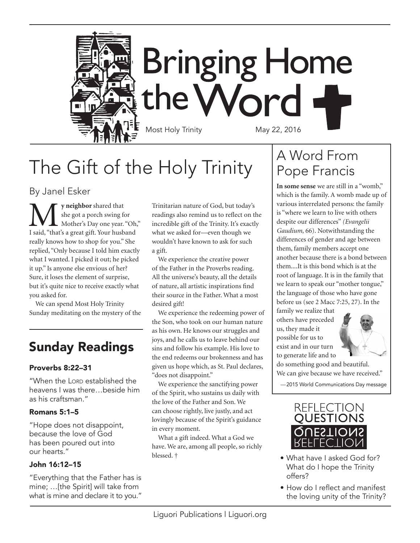

**Bringing Home** the Word Most Holy Trinity May 22, 2016

# The Gift of the Holy Trinity

By Janel Esker

**M** y neighbor shared that<br>
she got a porch swing for<br>
I said, "that's a great gift. Your husband she got a porch swing for Mother's Day one year. "Oh," really knows how to shop for you." She replied, "Only because I told him exactly what I wanted. I picked it out; he picked it up." Is anyone else envious of her? Sure, it loses the element of surprise, but it's quite nice to receive exactly what you asked for.

We can spend Most Holy Trinity Sunday meditating on the mystery of the

### Sunday Readings

#### Proverbs 8:22–31

"When the Lorp established the heavens I was there…beside him as his craftsman."

#### Romans 5:1–5

"Hope does not disappoint, because the love of God has been poured out into our hearts."

#### John 16:12–15

"Everything that the Father has is mine; …[the Spirit] will take from what is mine and declare it to you." Trinitarian nature of God, but today's readings also remind us to reflect on the incredible gift of the Trinity. It's exactly what we asked for—even though we wouldn't have known to ask for such a gift.

We experience the creative power of the Father in the Proverbs reading. All the universe's beauty, all the details of nature, all artistic inspirations find their source in the Father. What a most desired gift!

We experience the redeeming power of the Son, who took on our human nature as his own. He knows our struggles and joys, and he calls us to leave behind our sins and follow his example. His love to the end redeems our brokenness and has given us hope which, as St. Paul declares, "does not disappoint."

We experience the sanctifying power of the Spirit, who sustains us daily with the love of the Father and Son. We can choose rightly, live justly, and act lovingly because of the Spirit's guidance in every moment.

What a gift indeed. What a God we have. We are, among all people, so richly blessed. †

### A Word From Pope Francis

**In some sense** we are still in a "womb," which is the family. A womb made up of various interrelated persons: the family is "where we learn to live with others despite our differences" *(Evangelii Gaudium,* 66). Notwithstanding the differences of gender and age between them, family members accept one another because there is a bond between them....It is this bond which is at the root of language. It is in the family that we learn to speak our "mother tongue," the language of those who have gone before us (see 2 Macc 7:25, 27). In the

family we realize that others have preceded us, they made it possible for us to exist and in our turn to generate life and to



do something good and beautiful. We can give because we have received."

—2015 World Communications Day message



- What have I asked God for? What do I hope the Trinity offers?
- How do I reflect and manifest the loving unity of the Trinity?